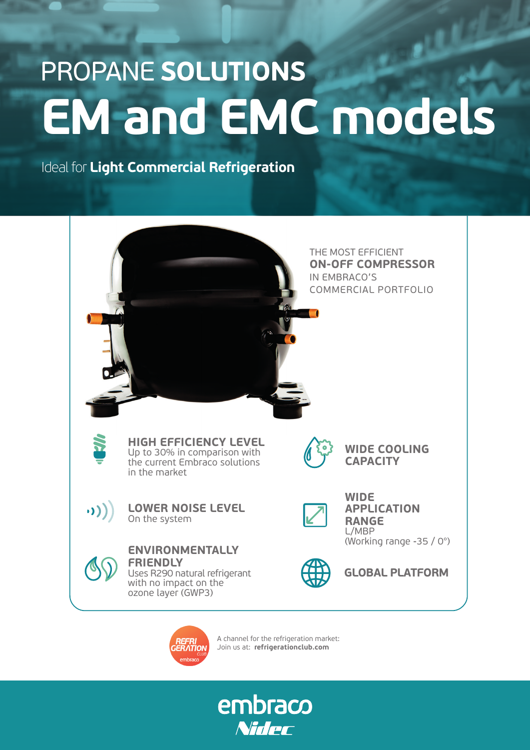## PROPANE **SOLUTIONS EM and EMC models**

Ideal for **Light Commercial Refrigeration**





A channel for the refrigeration market: Join us at: **refrigerationclub.com**